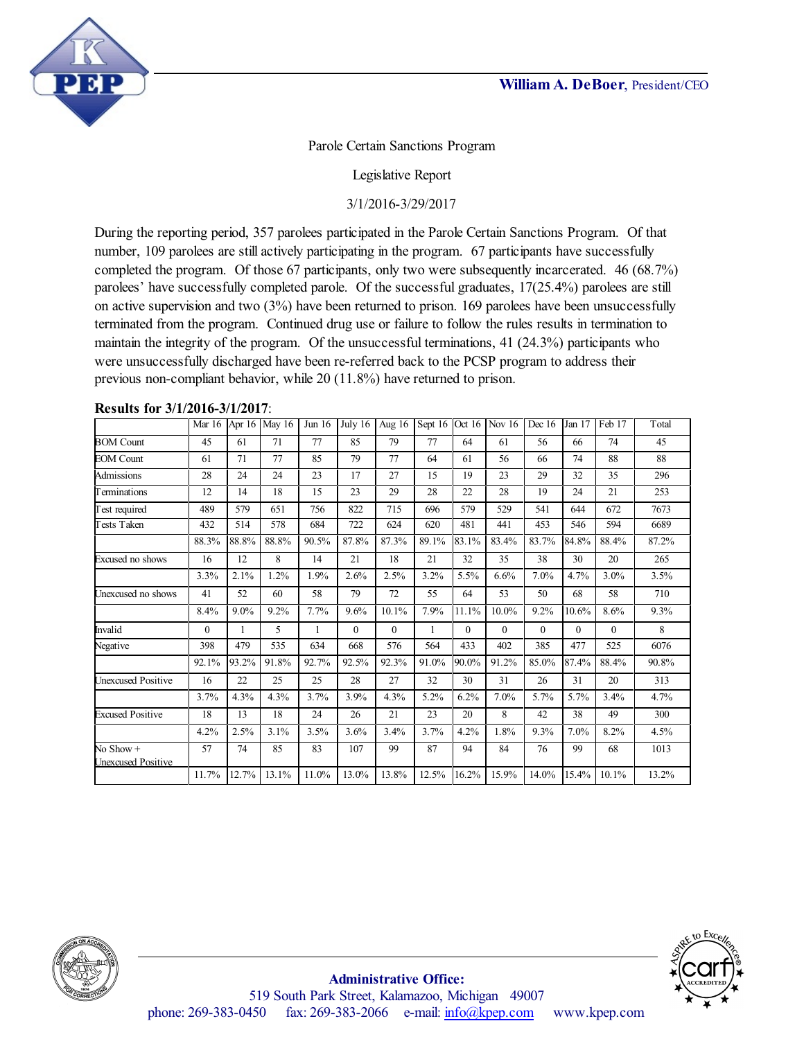

Parole Certain Sanctions Program

Legislative Report

3/1/2016-3/29/2017

During the reporting period, 357 parolees participated in the Parole Certain Sanctions Program. Of that number, 109 parolees are still actively participating in the program. 67 participants have successfully completed the program. Of those 67 participants, only two were subsequently incarcerated. 46 (68.7%) parolees' have successfully completed parole. Of the successful graduates, 17(25.4%) parolees are still on active supervision and two (3%) have been returned to prison. 169 parolees have been unsuccessfully terminated from the program. Continued drug use or failure to follow the rules results in termination to maintain the integrity of the program. Of the unsuccessful terminations, 41 (24.3%) participants who were unsuccessfully discharged have been re-referred back to the PCSP program to address their previous non-compliant behavior, while 20 (11.8%) have returned to prison.

|  |  | <b>Results for 3/1/2016-3/1/2017:</b> |  |
|--|--|---------------------------------------|--|
|--|--|---------------------------------------|--|

|                                          | Mar $16$ | Apr 16  | May 16 | Jun $16$ | July 16  | Aug 16   | Sept 16 | Oct $16$ | Nov $16$ | Dec 16   | Jan 17   | Feb 17   | Total |
|------------------------------------------|----------|---------|--------|----------|----------|----------|---------|----------|----------|----------|----------|----------|-------|
| <b>BOM Count</b>                         | 45       | 61      | 71     | 77       | 85       | 79       | 77      | 64       | 61       | 56       | 66       | 74       | 45    |
| <b>EOM Count</b>                         | 61       | 71      | 77     | 85       | 79       | 77       | 64      | 61       | 56       | 66       | 74       | 88       | 88    |
| Admissions                               | 28       | 24      | 24     | 23       | 17       | 27       | 15      | 19       | 23       | 29       | 32       | 35       | 296   |
| Terminations                             | 12       | 14      | 18     | 15       | 23       | 29       | 28      | 22       | 28       | 19       | 24       | 21       | 253   |
| Test required                            | 489      | 579     | 651    | 756      | 822      | 715      | 696     | 579      | 529      | 541      | 644      | 672      | 7673  |
| Tests Taken                              | 432      | 514     | 578    | 684      | 722      | 624      | 620     | 481      | 441      | 453      | 546      | 594      | 6689  |
|                                          | 88.3%    | 88.8%   | 88.8%  | 90.5%    | 87.8%    | 87.3%    | 89.1%   | 83.1%    | 83.4%    | 83.7%    | 84.8%    | 88.4%    | 87.2% |
| Excused no shows                         | 16       | 12      | 8      | 14       | 21       | 18       | 21      | 32       | 35       | 38       | 30       | 20       | 265   |
|                                          | 3.3%     | 2.1%    | 1.2%   | 1.9%     | 2.6%     | 2.5%     | 3.2%    | 5.5%     | 6.6%     | 7.0%     | 4.7%     | 3.0%     | 3.5%  |
| Unexcused no shows                       | 41       | 52      | 60     | 58       | 79       | 72       | 55      | 64       | 53       | 50       | 68       | 58       | 710   |
|                                          | 8.4%     | $9.0\%$ | 9.2%   | 7.7%     | 9.6%     | 10.1%    | 7.9%    | 11.1%    | $10.0\%$ | 9.2%     | 10.6%    | 8.6%     | 9.3%  |
| Invalid                                  | $\theta$ |         | 5      | 1        | $\Omega$ | $\theta$ |         | $\theta$ | $\theta$ | $\Omega$ | $\theta$ | $\Omega$ | 8     |
| Negative                                 | 398      | 479     | 535    | 634      | 668      | 576      | 564     | 433      | 402      | 385      | 477      | 525      | 6076  |
|                                          | 92.1%    | 93.2%   | 91.8%  | 92.7%    | 92.5%    | 92.3%    | 91.0%   | 90.0%    | 91.2%    | 85.0%    | 87.4%    | 88.4%    | 90.8% |
| <b>Unexcused Positive</b>                | 16       | 22      | 25     | 25       | 28       | 27       | 32      | 30       | 31       | 26       | 31       | 20       | 313   |
|                                          | 3.7%     | 4.3%    | 4.3%   | 3.7%     | 3.9%     | 4.3%     | 5.2%    | 6.2%     | 7.0%     | 5.7%     | 5.7%     | 3.4%     | 4.7%  |
| <b>Excused Positive</b>                  | 18       | 13      | 18     | 24       | 26       | 21       | 23      | 20       | 8        | 42       | 38       | 49       | 300   |
|                                          | 4.2%     | 2.5%    | 3.1%   | 3.5%     | 3.6%     | 3.4%     | 3.7%    | 4.2%     | 1.8%     | 9.3%     | 7.0%     | 8.2%     | 4.5%  |
| No $Show +$<br><b>Unexcused Positive</b> | 57       | 74      | 85     | 83       | 107      | 99       | 87      | 94       | 84       | 76       | 99       | 68       | 1013  |
|                                          | 11.7%    | 12.7%   | 13.1%  | 11.0%    | 13.0%    | 13.8%    | 12.5%   | 16.2%    | 15.9%    | 14.0%    | 15.4%    | 10.1%    | 13.2% |